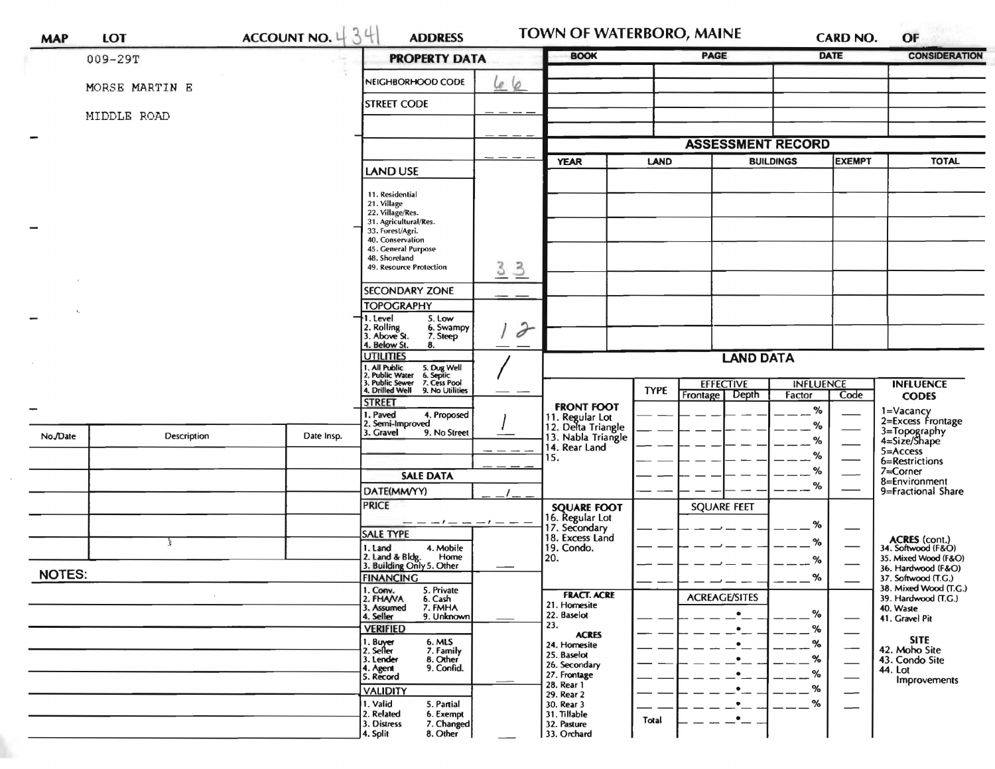| <b>MAP</b>    | LOT                | ACCOUNT NO. $434$ | <b>ADDRESS</b>                                                                                                                                              |                                 | TOWN OF WATERBORO, MAINE                                   |                  |                      | <b>CARD NO.</b>                   | OF                       |                                           |
|---------------|--------------------|-------------------|-------------------------------------------------------------------------------------------------------------------------------------------------------------|---------------------------------|------------------------------------------------------------|------------------|----------------------|-----------------------------------|--------------------------|-------------------------------------------|
|               | $009 - 29T$        |                   | <b>PROPERTY DATA</b>                                                                                                                                        |                                 | <b>BOOK</b>                                                |                  | <b>PAGE</b>          | <b>DATE</b>                       |                          | <b>CONSIDERATION</b>                      |
|               | MORSE MARTIN E     |                   | NEIGHBORHOOD CODE<br>Le 6                                                                                                                                   |                                 |                                                            |                  |                      |                                   |                          |                                           |
|               | MIDDLE ROAD        |                   | <b>STREET CODE</b>                                                                                                                                          |                                 |                                                            |                  |                      |                                   |                          |                                           |
|               |                    |                   |                                                                                                                                                             |                                 |                                                            |                  |                      |                                   |                          |                                           |
|               |                    |                   | <b>LAND USE</b>                                                                                                                                             |                                 | <b>ASSESSMENT RECORD</b>                                   |                  |                      |                                   |                          |                                           |
|               |                    |                   |                                                                                                                                                             |                                 | <b>YEAR</b><br><b>LAND</b>                                 |                  |                      | <b>EXEMPT</b><br><b>BUILDINGS</b> |                          | <b>TOTAL</b>                              |
|               |                    |                   | 11. Residential<br>21. Village<br>22. Village/Res.<br>31. Agricultural/Res.<br>33. Forest/Agri.<br>40. Conservation<br>45. General Purpose<br>48. Shoreland |                                 |                                                            |                  |                      |                                   |                          |                                           |
|               |                    |                   | 49. Resource Protection                                                                                                                                     | $\frac{3}{2}$<br>$\overline{3}$ |                                                            |                  |                      |                                   |                          |                                           |
|               |                    |                   | <b>SECONDARY ZONE</b>                                                                                                                                       |                                 |                                                            |                  |                      |                                   |                          |                                           |
|               |                    |                   | <b>TOPOGRAPHY</b><br>I. Level<br>5. Low                                                                                                                     |                                 |                                                            |                  |                      |                                   |                          |                                           |
|               |                    |                   | 2. Rolling<br>3. Above St.<br>6. Swampy<br>7. Steep<br>4. Below St.<br>8.                                                                                   | $\partial$                      |                                                            |                  |                      |                                   |                          |                                           |
|               |                    |                   | <b>UTILITIES</b>                                                                                                                                            |                                 | <b>LAND DATA</b>                                           |                  |                      |                                   |                          |                                           |
|               |                    |                   | 1. All Public<br>2. Public Water<br>3. Public Sewer<br>4. Drilled Well<br>5. Dug Well<br>6. Septic<br>7. Cess Pool                                          |                                 |                                                            | <b>EFFECTIVE</b> | <b>INFLUENCE</b>     |                                   | <b>INFLUENCE</b>         |                                           |
|               |                    |                   | 9. No Utilities<br><b>STREET</b>                                                                                                                            |                                 |                                                            | <b>TYPE</b>      | Depth<br>Frontage    | Factor                            | Code                     | <b>CODES</b>                              |
|               |                    |                   | . Paved<br>4. Proposed                                                                                                                                      |                                 | <b>FRONT FOOT</b><br>11. Regular Lot<br>12. Delta Triangle |                  |                      | %                                 |                          | 1=Vacancy<br>2=Excess Frontage            |
| No./Date      | <b>Description</b> | Date Insp.        | 2. Semi-Improved<br>3. Gravel<br>9. No Street                                                                                                               |                                 | 13. Nabla Triangle                                         |                  |                      | %                                 |                          | 3=Topography<br>4=Size/Shape              |
|               |                    |                   |                                                                                                                                                             |                                 | 14. Rear Land                                              |                  |                      | %                                 |                          | 5=Access                                  |
|               |                    |                   |                                                                                                                                                             |                                 | 15.                                                        |                  |                      | %<br>%                            |                          | 6=Restrictions<br>7=Corner                |
|               |                    |                   | <b>SALE DATA</b>                                                                                                                                            |                                 |                                                            |                  |                      | %                                 |                          | 8=Environment                             |
|               |                    |                   | DATE(MM/YY)                                                                                                                                                 |                                 |                                                            |                  |                      |                                   |                          | 9=Fractional Share                        |
|               |                    |                   | <b>PRICE</b>                                                                                                                                                |                                 | <b>SQUARE FOOT</b>                                         |                  | <b>SQUARE FEET</b>   |                                   |                          |                                           |
|               |                    |                   |                                                                                                                                                             |                                 | 16. Regular Lot<br>17. Secondary<br>18. Excess Land        |                  |                      | %                                 |                          |                                           |
|               |                    |                   | <b>SALE TYPE</b><br>4. Mobile<br>1. Land                                                                                                                    |                                 | 19. Condo.                                                 |                  |                      | $\%$                              |                          | ACRES (cont.)<br>34. Softwood (F&O)       |
|               |                    |                   | 2. Land & Bldg. Home<br>3. Building Only 5. Other<br>Home                                                                                                   |                                 | 20.                                                        |                  |                      | %                                 |                          | 35. Mixed Wood (F&O)                      |
| <b>NOTES:</b> |                    |                   | <b>FINANCING</b>                                                                                                                                            |                                 |                                                            |                  |                      | %                                 |                          | 36. Hardwood (F&O)<br>37. Softwood (T.G.) |
|               |                    |                   | 1. Conv.<br>2. FHAVA<br>5. Private                                                                                                                          |                                 | <b>FRACT. ACRE</b>                                         |                  |                      |                                   |                          | 38. Mixed Wood (T.G.)                     |
|               |                    |                   | 6. Cash<br>7. FMHA<br>3. Assumed                                                                                                                            |                                 | 21. Homesite                                               |                  | <b>ACREAGE/SITES</b> |                                   |                          | 39. Hardwood (T.G.)<br>40. Waste          |
|               |                    |                   | 4. Seller<br>9. Unknown                                                                                                                                     |                                 | 22. Baselot<br>23.                                         |                  |                      | ℅                                 |                          | 41. Gravel Pit                            |
|               |                    |                   | <b>VERIFIED</b><br>6. MLS                                                                                                                                   |                                 | <b>ACRES</b>                                               |                  | ٠                    | ℅                                 |                          | <b>SITE</b>                               |
|               |                    |                   | 1. Buyer<br>2. Seller<br>7. Family                                                                                                                          |                                 | 24. Homesite<br>25. Baselot                                |                  | ٠                    | %<br>%                            | $\overline{\phantom{0}}$ | 42. Moho Site                             |
|               |                    |                   | 3. Lender<br>8. Other<br>9. Confid.<br>4. Agent                                                                                                             |                                 | 26. Secondary<br>27. Frontage                              |                  |                      | %                                 |                          | 43. Condo Site<br>44. Lot                 |
|               |                    |                   | 5. Record<br><b>VALIDITY</b>                                                                                                                                |                                 | 28. Rear 1                                                 |                  |                      | %                                 | $\overline{\phantom{0}}$ | Improvements                              |
|               |                    |                   | 1. Valid<br>5. Partial                                                                                                                                      |                                 | 29. Rear 2<br>30. Rear 3                                   |                  |                      | %                                 | $\overline{\phantom{0}}$ |                                           |
|               |                    |                   | 2. Related<br>6. Exempt                                                                                                                                     |                                 | 31. Tillable                                               | Total            |                      |                                   |                          |                                           |
|               |                    |                   | 3. Distress<br>7. Changed<br>4. Split<br>8. Other                                                                                                           |                                 | 32. Pasture<br>33. Orchard                                 |                  |                      |                                   |                          |                                           |

 $\sim$ 

h,